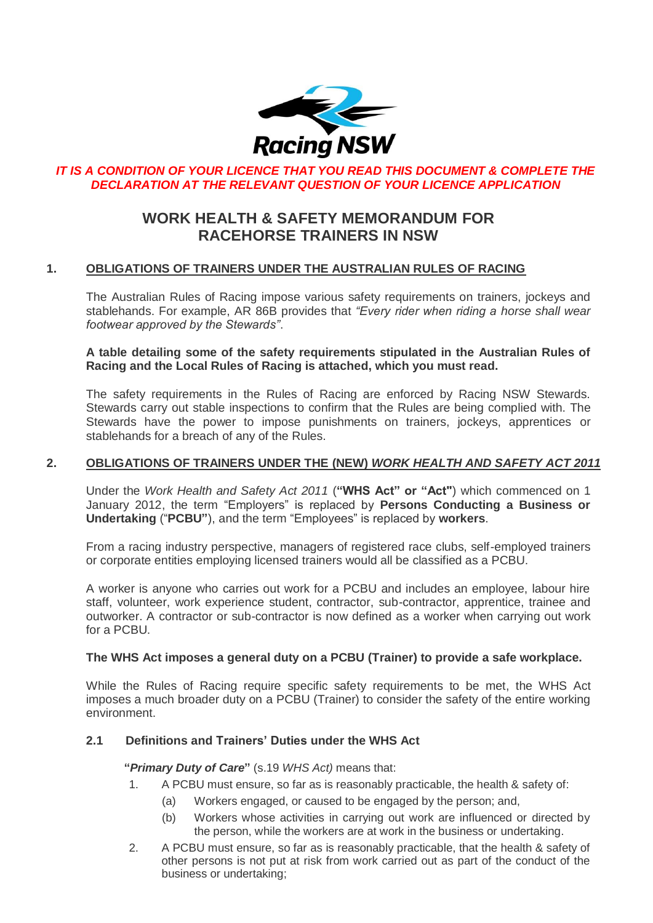

## **IT IS A CONDITION OF YOUR LICENCE THAT YOU READ THIS DOCUMENT & COMPLETE THE** *DECLARATION AT THE RELEVANT QUESTION OF YOUR LICENCE APPLICATION*

# **WORK HEALTH & SAFETY MEMORANDUM FOR RACEHORSE TRAINERS IN NSW**

## **1. OBLIGATIONS OF TRAINERS UNDER THE AUSTRALIAN RULES OF RACING**

The Australian Rules of Racing impose various safety requirements on trainers, jockeys and stablehands. For example, AR 86B provides that *"Every rider when riding a horse shall wear footwear approved by the Stewards"*.

**A table detailing some of the safety requirements stipulated in the Australian Rules of Racing and the Local Rules of Racing is attached, which you must read.** 

The safety requirements in the Rules of Racing are enforced by Racing NSW Stewards. Stewards carry out stable inspections to confirm that the Rules are being complied with. The Stewards have the power to impose punishments on trainers, jockeys, apprentices or stablehands for a breach of any of the Rules.

#### **2. OBLIGATIONS OF TRAINERS UNDER THE (NEW)** *WORK HEALTH AND SAFETY ACT 2011*

Under the *Work Health and Safety Act 2011* (**"WHS Act" or "Act"**) which commenced on 1 January 2012, the term "Employers" is replaced by **Persons Conducting a Business or Undertaking** ("**PCBU"**), and the term "Employees" is replaced by **workers**.

From a racing industry perspective, managers of registered race clubs, self-employed trainers or corporate entities employing licensed trainers would all be classified as a PCBU.

A worker is anyone who carries out work for a PCBU and includes an employee, labour hire staff, volunteer, work experience student, contractor, sub-contractor, apprentice, trainee and outworker. A contractor or sub-contractor is now defined as a worker when carrying out work for a PCBU.

#### **The WHS Act imposes a general duty on a PCBU (Trainer) to provide a safe workplace.**

While the Rules of Racing require specific safety requirements to be met, the WHS Act imposes a much broader duty on a PCBU (Trainer) to consider the safety of the entire working environment.

#### **2.1 Definitions and Trainers' Duties under the WHS Act**

#### **"***Primary Duty of Care***"** (s.19 *WHS Act)* means that:

- 1. A PCBU must ensure, so far as is reasonably practicable, the health & safety of:
	- (a) Workers engaged, or caused to be engaged by the person; and,
	- (b) Workers whose activities in carrying out work are influenced or directed by the person, while the workers are at work in the business or undertaking.
- 2. A PCBU must ensure, so far as is reasonably practicable, that the health & safety of other persons is not put at risk from work carried out as part of the conduct of the business or undertaking;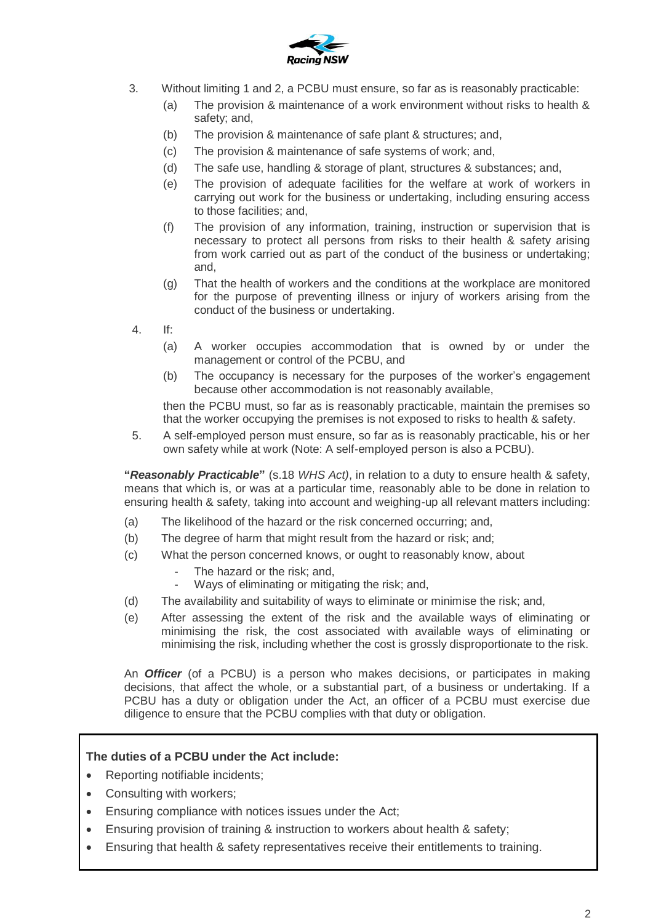

- 3. Without limiting 1 and 2, a PCBU must ensure, so far as is reasonably practicable:
	- (a) The provision & maintenance of a work environment without risks to health & safety; and,
	- (b) The provision & maintenance of safe plant & structures; and,
	- (c) The provision & maintenance of safe systems of work; and,
	- (d) The safe use, handling & storage of plant, structures & substances; and,
	- (e) The provision of adequate facilities for the welfare at work of workers in carrying out work for the business or undertaking, including ensuring access to those facilities; and,
	- (f) The provision of any information, training, instruction or supervision that is necessary to protect all persons from risks to their health & safety arising from work carried out as part of the conduct of the business or undertaking; and,
	- (g) That the health of workers and the conditions at the workplace are monitored for the purpose of preventing illness or injury of workers arising from the conduct of the business or undertaking.
- 4. If:
	- (a) A worker occupies accommodation that is owned by or under the management or control of the PCBU, and
	- (b) The occupancy is necessary for the purposes of the worker's engagement because other accommodation is not reasonably available,

then the PCBU must, so far as is reasonably practicable, maintain the premises so that the worker occupying the premises is not exposed to risks to health & safety.

5. A self-employed person must ensure, so far as is reasonably practicable, his or her own safety while at work (Note: A self-employed person is also a PCBU).

**"***Reasonably Practicable***"** (s.18 *WHS Act)*, in relation to a duty to ensure health & safety, means that which is, or was at a particular time, reasonably able to be done in relation to ensuring health & safety, taking into account and weighing-up all relevant matters including:

- (a) The likelihood of the hazard or the risk concerned occurring; and,
- (b) The degree of harm that might result from the hazard or risk; and;
- (c) What the person concerned knows, or ought to reasonably know, about
	- The hazard or the risk; and,
	- Ways of eliminating or mitigating the risk; and,
- (d) The availability and suitability of ways to eliminate or minimise the risk; and,
- (e) After assessing the extent of the risk and the available ways of eliminating or minimising the risk, the cost associated with available ways of eliminating or minimising the risk, including whether the cost is grossly disproportionate to the risk.

An *Officer* (of a PCBU) is a person who makes decisions, or participates in making decisions, that affect the whole, or a substantial part, of a business or undertaking. If a PCBU has a duty or obligation under the Act, an officer of a PCBU must exercise due diligence to ensure that the PCBU complies with that duty or obligation.

#### **The duties of a PCBU under the Act include:**

- Reporting notifiable incidents;
- Consulting with workers:
- Ensuring compliance with notices issues under the Act;
- Ensuring provision of training & instruction to workers about health & safety;
- Ensuring that health & safety representatives receive their entitlements to training.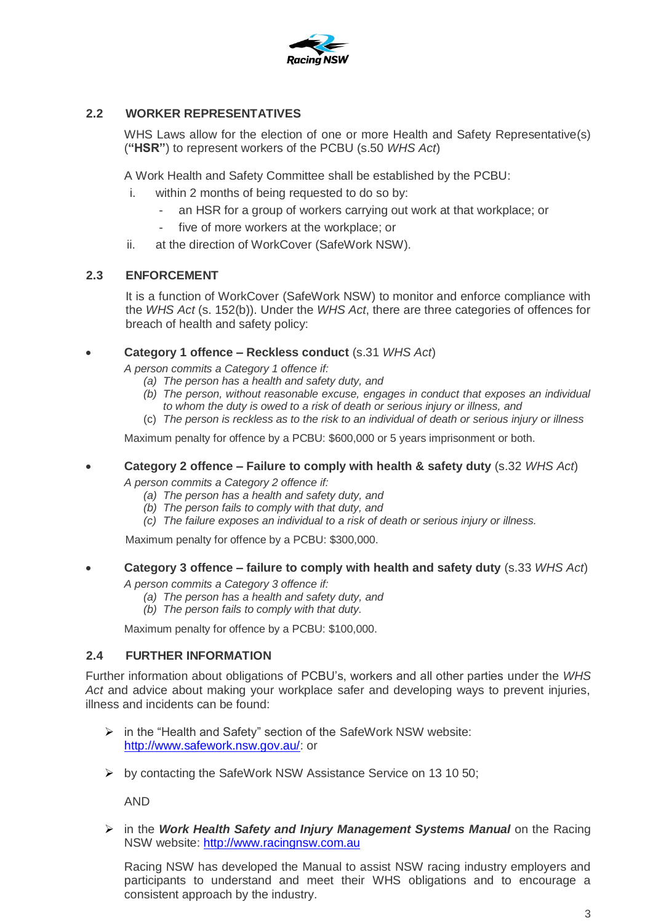

## **2.2 WORKER REPRESENTATIVES**

WHS Laws allow for the election of one or more Health and Safety Representative(s) (**"HSR"**) to represent workers of the PCBU (s.50 *WHS Act*)

A Work Health and Safety Committee shall be established by the PCBU:

- i. within 2 months of being requested to do so by:
	- an HSR for a group of workers carrying out work at that workplace; or
	- five of more workers at the workplace; or
- ii. at the direction of WorkCover (SafeWork NSW).

#### **2.3 ENFORCEMENT**

It is a function of WorkCover (SafeWork NSW) to monitor and enforce compliance with the *WHS Act* (s. 152(b)). Under the *WHS Act*, there are three categories of offences for breach of health and safety policy:

#### **Category 1 offence – Reckless conduct** (s.31 *WHS Act*)

*A person commits a Category 1 offence if:*

- *(a) The person has a health and safety duty, and*
- *(b) The person, without reasonable excuse, engages in conduct that exposes an individual to whom the duty is owed to a risk of death or serious injury or illness, and*
- (c) *The person is reckless as to the risk to an individual of death or serious injury or illness*

Maximum penalty for offence by a PCBU: \$600,000 or 5 years imprisonment or both.

**Category 2 offence – Failure to comply with health & safety duty** (s.32 *WHS Act*)

*A person commits a Category 2 offence if:*

- *(a) The person has a health and safety duty, and*
- *(b) The person fails to comply with that duty, and*
- *(c) The failure exposes an individual to a risk of death or serious injury or illness.*

Maximum penalty for offence by a PCBU: \$300,000.

#### **Category 3 offence – failure to comply with health and safety duty** (s.33 *WHS Act*)

*A person commits a Category 3 offence if:*

- *(a) The person has a health and safety duty, and*
- *(b) The person fails to comply with that duty.*

Maximum penalty for offence by a PCBU: \$100,000.

#### **2.4 FURTHER INFORMATION**

Further information about obligations of PCBU's, workers and all other parties under the *WHS Act* and advice about making your workplace safer and developing ways to prevent injuries, illness and incidents can be found:

- $\triangleright$  in the "Health and Safety" section of the SafeWork NSW website: [http://www.safework.nsw.gov.au/:](http://www.safework.nsw.gov.au/) or
- $\triangleright$  by contacting the SafeWork NSW Assistance Service on 13 10 50;

AND

 in the *Work Health Safety and Injury Management Systems Manual* on the Racing NSW website: [http://www.racingnsw.com.au](http://www.racingnsw.com.au/)

Racing NSW has developed the Manual to assist NSW racing industry employers and participants to understand and meet their WHS obligations and to encourage a consistent approach by the industry.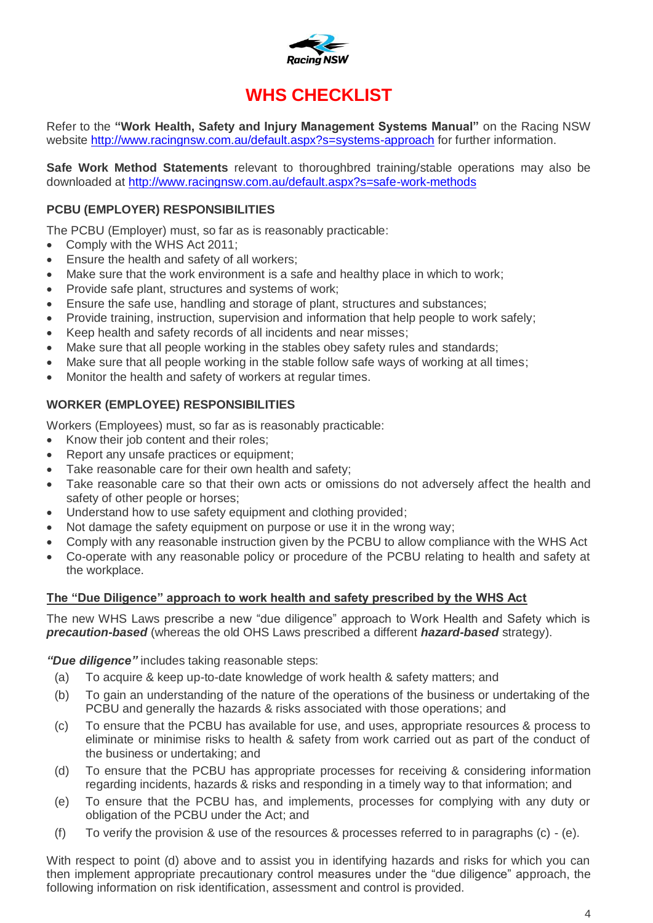

# **WHS CHECKLIST**

Refer to the **"Work Health, Safety and Injury Management Systems Manual"** on the Racing NSW website <http://www.racingnsw.com.au/default.aspx?s=systems-approach> for further information.

**Safe Work Method Statements** relevant to thoroughbred training/stable operations may also be downloaded at<http://www.racingnsw.com.au/default.aspx?s=safe-work-methods>

# **PCBU (EMPLOYER) RESPONSIBILITIES**

The PCBU (Employer) must, so far as is reasonably practicable:

- Comply with the WHS Act 2011;
- **Ensure the health and safety of all workers;**
- Make sure that the work environment is a safe and healthy place in which to work;
- Provide safe plant, structures and systems of work;
- Ensure the safe use, handling and storage of plant, structures and substances;
- Provide training, instruction, supervision and information that help people to work safely;
- Keep health and safety records of all incidents and near misses;
- Make sure that all people working in the stables obey safety rules and standards;
- Make sure that all people working in the stable follow safe ways of working at all times;
- Monitor the health and safety of workers at regular times.

# **WORKER (EMPLOYEE) RESPONSIBILITIES**

Workers (Employees) must, so far as is reasonably practicable:

- Know their job content and their roles;
- Report any unsafe practices or equipment;
- Take reasonable care for their own health and safety;
- Take reasonable care so that their own acts or omissions do not adversely affect the health and safety of other people or horses;
- Understand how to use safety equipment and clothing provided;
- Not damage the safety equipment on purpose or use it in the wrong way;
- Comply with any reasonable instruction given by the PCBU to allow compliance with the WHS Act
- Co-operate with any reasonable policy or procedure of the PCBU relating to health and safety at the workplace.

#### **The "Due Diligence" approach to work health and safety prescribed by the WHS Act**

The new WHS Laws prescribe a new "due diligence" approach to Work Health and Safety which is *precaution-based* (whereas the old OHS Laws prescribed a different *hazard-based* strategy).

*"Due diligence"* includes taking reasonable steps:

- (a) To acquire & keep up-to-date knowledge of work health & safety matters; and
- (b) To gain an understanding of the nature of the operations of the business or undertaking of the PCBU and generally the hazards & risks associated with those operations; and
- (c) To ensure that the PCBU has available for use, and uses, appropriate resources & process to eliminate or minimise risks to health & safety from work carried out as part of the conduct of the business or undertaking; and
- (d) To ensure that the PCBU has appropriate processes for receiving & considering information regarding incidents, hazards & risks and responding in a timely way to that information; and
- (e) To ensure that the PCBU has, and implements, processes for complying with any duty or obligation of the PCBU under the Act; and
- (f) To verify the provision & use of the resources & processes referred to in paragraphs (c) (e).

With respect to point (d) above and to assist you in identifying hazards and risks for which you can then implement appropriate precautionary control measures under the "due diligence" approach, the following information on risk identification, assessment and control is provided.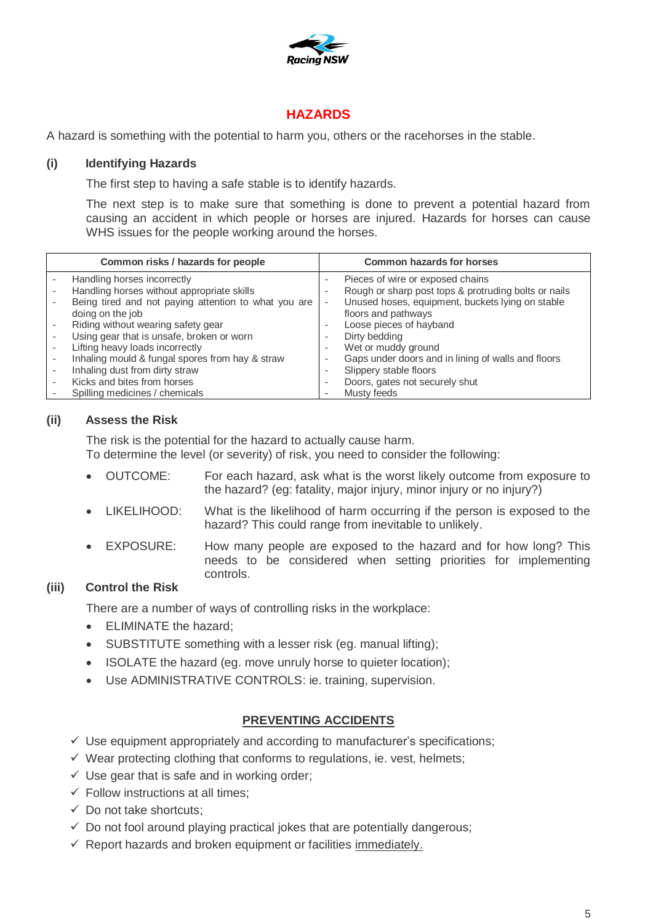

# **HAZARDS**

A hazard is something with the potential to harm you, others or the racehorses in the stable.

#### **(i) Identifying Hazards**

The first step to having a safe stable is to identify hazards.

The next step is to make sure that something is done to prevent a potential hazard from causing an accident in which people or horses are injured. Hazards for horses can cause WHS issues for the people working around the horses.

| Common risks / hazards for people                    |   | <b>Common hazards for horses</b>                     |
|------------------------------------------------------|---|------------------------------------------------------|
| Handling horses incorrectly                          |   | Pieces of wire or exposed chains                     |
| Handling horses without appropriate skills           |   | Rough or sharp post tops & protruding bolts or nails |
| Being tired and not paying attention to what you are |   | Unused hoses, equipment, buckets lying on stable     |
| doing on the job                                     |   | floors and pathways                                  |
| Riding without wearing safety gear                   |   | Loose pieces of hayband                              |
| Using gear that is unsafe, broken or worn            |   | Dirty bedding                                        |
| Lifting heavy loads incorrectly                      | ۰ | Wet or muddy ground                                  |
| Inhaling mould & fungal spores from hay & straw      |   | Gaps under doors and in lining of walls and floors   |
| Inhaling dust from dirty straw                       |   | Slippery stable floors                               |
| Kicks and bites from horses                          |   | Doors, gates not securely shut                       |
| Spilling medicines / chemicals                       |   | Musty feeds                                          |

## **(ii) Assess the Risk**

The risk is the potential for the hazard to actually cause harm.

To determine the level (or severity) of risk, you need to consider the following:

- OUTCOME: For each hazard, ask what is the worst likely outcome from exposure to the hazard? (eg: fatality, major injury, minor injury or no injury?)
- LIKELIHOOD: What is the likelihood of harm occurring if the person is exposed to the hazard? This could range from inevitable to unlikely.
- EXPOSURE: How many people are exposed to the hazard and for how long? This needs to be considered when setting priorities for implementing controls.

#### **(iii) Control the Risk**

There are a number of ways of controlling risks in the workplace:

- ELIMINATE the hazard;
- SUBSTITUTE something with a lesser risk (eg. manual lifting);
- ISOLATE the hazard (eg. move unruly horse to quieter location);
- Use ADMINISTRATIVE CONTROLS: ie. training, supervision.

#### **PREVENTING ACCIDENTS**

- $\checkmark$  Use equipment appropriately and according to manufacturer's specifications;
- $\checkmark$  Wear protecting clothing that conforms to regulations, ie. vest, helmets;
- $\checkmark$  Use gear that is safe and in working order;
- $\checkmark$  Follow instructions at all times;
- $\checkmark$  Do not take shortcuts:
- $\checkmark$  Do not fool around playing practical jokes that are potentially dangerous;
- $\checkmark$  Report hazards and broken equipment or facilities immediately.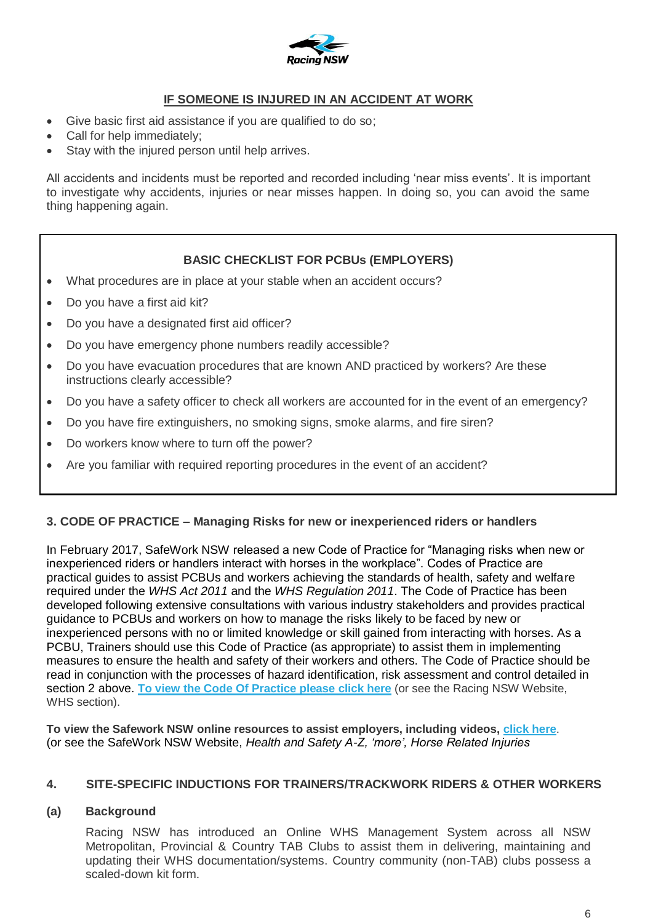

# **IF SOMEONE IS INJURED IN AN ACCIDENT AT WORK**

- Give basic first aid assistance if you are qualified to do so;
- Call for help immediately;
- Stay with the injured person until help arrives.

All accidents and incidents must be reported and recorded including 'near miss events'. It is important to investigate why accidents, injuries or near misses happen. In doing so, you can avoid the same thing happening again.

## **BASIC CHECKLIST FOR PCBUs (EMPLOYERS)**

- What procedures are in place at your stable when an accident occurs?
- Do you have a first aid kit?
- Do you have a designated first aid officer?
- Do you have emergency phone numbers readily accessible?
- Do you have evacuation procedures that are known AND practiced by workers? Are these instructions clearly accessible?
- Do you have a safety officer to check all workers are accounted for in the event of an emergency?
- Do you have fire extinguishers, no smoking signs, smoke alarms, and fire siren?
- Do workers know where to turn off the power?
- Are you familiar with required reporting procedures in the event of an accident?

#### **3. CODE OF PRACTICE – Managing Risks for new or inexperienced riders or handlers**

In February 2017, SafeWork NSW released a new Code of Practice for "Managing risks when new or inexperienced riders or handlers interact with horses in the workplace". Codes of Practice are practical guides to assist PCBUs and workers achieving the standards of health, safety and welfare required under the *WHS Act 2011* and the *WHS Regulation 2011*. The Code of Practice has been developed following extensive consultations with various industry stakeholders and provides practical guidance to PCBUs and workers on how to manage the risks likely to be faced by new or inexperienced persons with no or limited knowledge or skill gained from interacting with horses. As a PCBU, Trainers should use this Code of Practice (as appropriate) to assist them in implementing measures to ensure the health and safety of their workers and others. The Code of Practice should be read in conjunction with the processes of hazard identification, risk assessment and control detailed in section 2 above. **[To view the Code Of Practice please click here](http://www.racingnsw.com.au/site/_content/document/00001648-source.pdf)** (or see the Racing NSW Website, WHS section).

**To view the Safework NSW online resources to assist employers, including videos, [click here](http://www.safework.nsw.gov.au/health-and-safety/safety-topics-a-z/horse-related-injuries?result_46085_result_page=2)**. (or see the SafeWork NSW Website, *Health and Safety A-Z, 'more', Horse Related Injuries*

#### **4. SITE-SPECIFIC INDUCTIONS FOR TRAINERS/TRACKWORK RIDERS & OTHER WORKERS**

#### **(a) Background**

Racing NSW has introduced an Online WHS Management System across all NSW Metropolitan, Provincial & Country TAB Clubs to assist them in delivering, maintaining and updating their WHS documentation/systems. Country community (non-TAB) clubs possess a scaled-down kit form.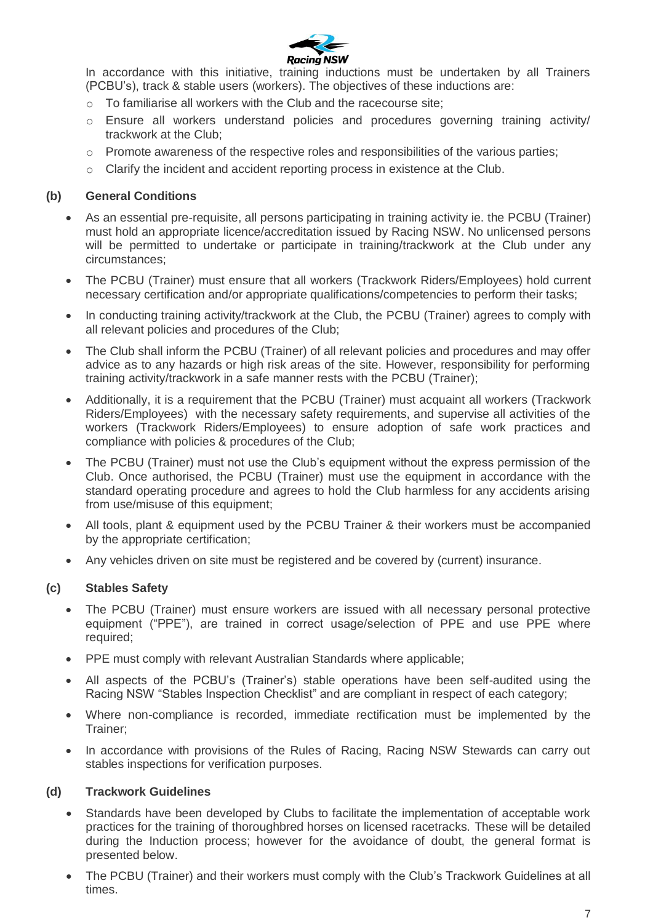

In accordance with this initiative, training inductions must be undertaken by all Trainers (PCBU's), track & stable users (workers). The objectives of these inductions are:

- o To familiarise all workers with the Club and the racecourse site;
- $\circ$  Ensure all workers understand policies and procedures governing training activity/ trackwork at the Club;
- $\circ$  Promote awareness of the respective roles and responsibilities of the various parties;
- Clarify the incident and accident reporting process in existence at the Club.

## **(b) General Conditions**

- As an essential pre-requisite, all persons participating in training activity ie. the PCBU (Trainer) must hold an appropriate licence/accreditation issued by Racing NSW. No unlicensed persons will be permitted to undertake or participate in training/trackwork at the Club under any circumstances;
- The PCBU (Trainer) must ensure that all workers (Trackwork Riders/Employees) hold current necessary certification and/or appropriate qualifications/competencies to perform their tasks;
- In conducting training activity/trackwork at the Club, the PCBU (Trainer) agrees to comply with all relevant policies and procedures of the Club;
- The Club shall inform the PCBU (Trainer) of all relevant policies and procedures and may offer advice as to any hazards or high risk areas of the site. However, responsibility for performing training activity/trackwork in a safe manner rests with the PCBU (Trainer);
- Additionally, it is a requirement that the PCBU (Trainer) must acquaint all workers (Trackwork Riders/Employees) with the necessary safety requirements, and supervise all activities of the workers (Trackwork Riders/Employees) to ensure adoption of safe work practices and compliance with policies & procedures of the Club;
- The PCBU (Trainer) must not use the Club's equipment without the express permission of the Club. Once authorised, the PCBU (Trainer) must use the equipment in accordance with the standard operating procedure and agrees to hold the Club harmless for any accidents arising from use/misuse of this equipment;
- All tools, plant & equipment used by the PCBU Trainer & their workers must be accompanied by the appropriate certification;
- Any vehicles driven on site must be registered and be covered by (current) insurance.

#### **(c) Stables Safety**

- The PCBU (Trainer) must ensure workers are issued with all necessary personal protective equipment ("PPE"), are trained in correct usage/selection of PPE and use PPE where required;
- PPE must comply with relevant Australian Standards where applicable;
- All aspects of the PCBU's (Trainer's) stable operations have been self-audited using the Racing NSW "Stables Inspection Checklist" and are compliant in respect of each category;
- Where non-compliance is recorded, immediate rectification must be implemented by the Trainer;
- In accordance with provisions of the Rules of Racing, Racing NSW Stewards can carry out stables inspections for verification purposes.

#### **(d) Trackwork Guidelines**

- Standards have been developed by Clubs to facilitate the implementation of acceptable work practices for the training of thoroughbred horses on licensed racetracks. These will be detailed during the Induction process; however for the avoidance of doubt, the general format is presented below.
- The PCBU (Trainer) and their workers must comply with the Club's Trackwork Guidelines at all times.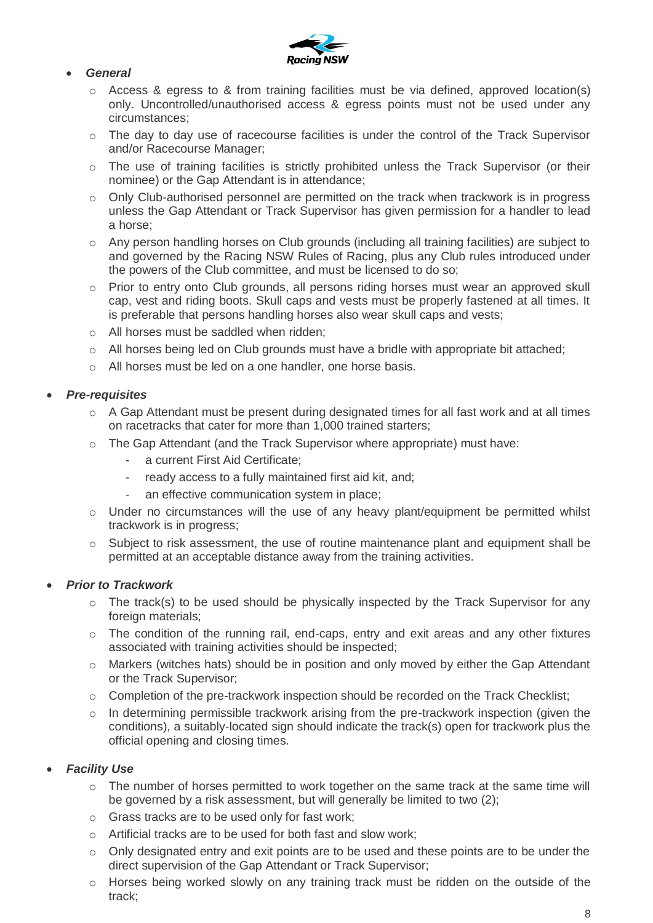

#### *General*

- o Access & egress to & from training facilities must be via defined, approved location(s) only. Uncontrolled/unauthorised access & egress points must not be used under any circumstances;
- $\circ$  The day to day use of racecourse facilities is under the control of the Track Supervisor and/or Racecourse Manager;
- o The use of training facilities is strictly prohibited unless the Track Supervisor (or their nominee) or the Gap Attendant is in attendance;
- o Only Club-authorised personnel are permitted on the track when trackwork is in progress unless the Gap Attendant or Track Supervisor has given permission for a handler to lead a horse;
- $\circ$  Any person handling horses on Club grounds (including all training facilities) are subject to and governed by the Racing NSW Rules of Racing, plus any Club rules introduced under the powers of the Club committee, and must be licensed to do so;
- o Prior to entry onto Club grounds, all persons riding horses must wear an approved skull cap, vest and riding boots. Skull caps and vests must be properly fastened at all times. It is preferable that persons handling horses also wear skull caps and vests;
- o All horses must be saddled when ridden;
- o All horses being led on Club grounds must have a bridle with appropriate bit attached;
- o All horses must be led on a one handler, one horse basis.

## *Pre-requisites*

- $\circ$  A Gap Attendant must be present during designated times for all fast work and at all times on racetracks that cater for more than 1,000 trained starters;
- o The Gap Attendant (and the Track Supervisor where appropriate) must have:
	- a current First Aid Certificate;
	- ready access to a fully maintained first aid kit, and;
	- an effective communication system in place;
- $\circ$  Under no circumstances will the use of any heavy plant/equipment be permitted whilst trackwork is in progress;
- o Subject to risk assessment, the use of routine maintenance plant and equipment shall be permitted at an acceptable distance away from the training activities.

#### *Prior to Trackwork*

- $\circ$  The track(s) to be used should be physically inspected by the Track Supervisor for any foreign materials;
- $\circ$  The condition of the running rail, end-caps, entry and exit areas and any other fixtures associated with training activities should be inspected;
- o Markers (witches hats) should be in position and only moved by either the Gap Attendant or the Track Supervisor;
- $\circ$  Completion of the pre-trackwork inspection should be recorded on the Track Checklist;
- o In determining permissible trackwork arising from the pre-trackwork inspection (given the conditions), a suitably-located sign should indicate the track(s) open for trackwork plus the official opening and closing times.

#### *Facility Use*

- o The number of horses permitted to work together on the same track at the same time will be governed by a risk assessment, but will generally be limited to two (2):
- o Grass tracks are to be used only for fast work;
- o Artificial tracks are to be used for both fast and slow work;
- $\circ$  Only designated entry and exit points are to be used and these points are to be under the direct supervision of the Gap Attendant or Track Supervisor;
- $\circ$  Horses being worked slowly on any training track must be ridden on the outside of the track;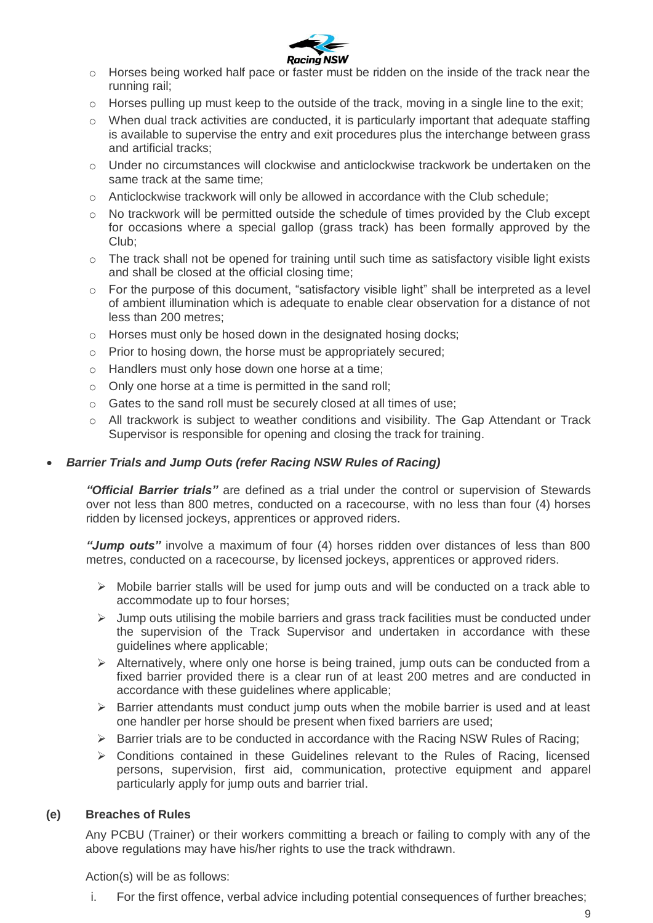

- o Horses being worked half pace or faster must be ridden on the inside of the track near the running rail;
- o Horses pulling up must keep to the outside of the track, moving in a single line to the exit;
- o When dual track activities are conducted, it is particularly important that adequate staffing is available to supervise the entry and exit procedures plus the interchange between grass and artificial tracks;
- $\circ$  Under no circumstances will clockwise and anticlockwise trackwork be undertaken on the same track at the same time;
- $\circ$  Anticlockwise trackwork will only be allowed in accordance with the Club schedule;
- o No trackwork will be permitted outside the schedule of times provided by the Club except for occasions where a special gallop (grass track) has been formally approved by the Club;
- $\circ$  The track shall not be opened for training until such time as satisfactory visible light exists and shall be closed at the official closing time;
- o For the purpose of this document, "satisfactory visible light" shall be interpreted as a level of ambient illumination which is adequate to enable clear observation for a distance of not less than 200 metres;
- o Horses must only be hosed down in the designated hosing docks;
- o Prior to hosing down, the horse must be appropriately secured;
- o Handlers must only hose down one horse at a time;
- o Only one horse at a time is permitted in the sand roll;
- o Gates to the sand roll must be securely closed at all times of use;
- o All trackwork is subject to weather conditions and visibility. The Gap Attendant or Track Supervisor is responsible for opening and closing the track for training.

#### *Barrier Trials and Jump Outs (refer Racing NSW Rules of Racing)*

*"Official Barrier trials"* are defined as a trial under the control or supervision of Stewards over not less than 800 metres, conducted on a racecourse, with no less than four (4) horses ridden by licensed jockeys, apprentices or approved riders.

*"Jump outs"* involve a maximum of four (4) horses ridden over distances of less than 800 metres, conducted on a racecourse, by licensed jockeys, apprentices or approved riders.

- $\triangleright$  Mobile barrier stalls will be used for jump outs and will be conducted on a track able to accommodate up to four horses;
- $\triangleright$  Jump outs utilising the mobile barriers and grass track facilities must be conducted under the supervision of the Track Supervisor and undertaken in accordance with these guidelines where applicable;
- $\triangleright$  Alternatively, where only one horse is being trained, jump outs can be conducted from a fixed barrier provided there is a clear run of at least 200 metres and are conducted in accordance with these guidelines where applicable;
- $\triangleright$  Barrier attendants must conduct jump outs when the mobile barrier is used and at least one handler per horse should be present when fixed barriers are used;
- $\triangleright$  Barrier trials are to be conducted in accordance with the Racing NSW Rules of Racing;
- $\triangleright$  Conditions contained in these Guidelines relevant to the Rules of Racing, licensed persons, supervision, first aid, communication, protective equipment and apparel particularly apply for jump outs and barrier trial.

#### **(e) Breaches of Rules**

Any PCBU (Trainer) or their workers committing a breach or failing to comply with any of the above regulations may have his/her rights to use the track withdrawn.

Action(s) will be as follows:

i. For the first offence, verbal advice including potential consequences of further breaches;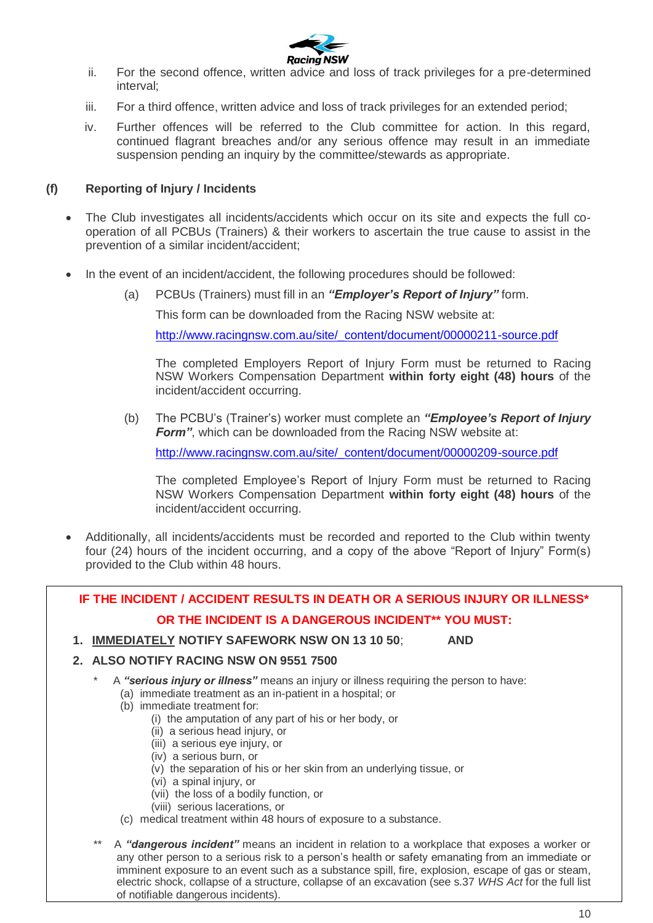

- ii. For the second offence, written advice and loss of track privileges for a pre-determined interval;
- iii. For a third offence, written advice and loss of track privileges for an extended period;
- iv. Further offences will be referred to the Club committee for action. In this regard, continued flagrant breaches and/or any serious offence may result in an immediate suspension pending an inquiry by the committee/stewards as appropriate.

#### **(f) Reporting of Injury / Incidents**

- The Club investigates all incidents/accidents which occur on its site and expects the full cooperation of all PCBUs (Trainers) & their workers to ascertain the true cause to assist in the prevention of a similar incident/accident;
- In the event of an incident/accident, the following procedures should be followed:
	- (a) PCBUs (Trainers) must fill in an *"Employer's Report of Injury"* form.

This form can be downloaded from the Racing NSW website at:

[http://www.racingnsw.com.au/site/\\_content/document/00000211-source.pdf](http://www.racingnsw.com.au/site/_content/document/00000211-source.pdf)

The completed Employers Report of Injury Form must be returned to Racing NSW Workers Compensation Department **within forty eight (48) hours** of the incident/accident occurring.

(b) The PCBU's (Trainer's) worker must complete an *"Employee's Report of Injury Form"*, which can be downloaded from the Racing NSW website at:

[http://www.racingnsw.com.au/site/\\_content/document/00000209-source.pdf](http://www.racingnsw.com.au/site/_content/document/00000209-source.pdf)

The completed Employee's Report of Injury Form must be returned to Racing NSW Workers Compensation Department **within forty eight (48) hours** of the incident/accident occurring.

 Additionally, all incidents/accidents must be recorded and reported to the Club within twenty four (24) hours of the incident occurring, and a copy of the above "Report of Injury" Form(s) provided to the Club within 48 hours.

# **IF THE INCIDENT / ACCIDENT RESULTS IN DEATH OR A SERIOUS INJURY OR ILLNESS\* OR THE INCIDENT IS A DANGEROUS INCIDENT\*\* YOU MUST:**

**1. IMMEDIATELY NOTIFY SAFEWORK NSW ON 13 10 50**; **AND**

#### **2. ALSO NOTIFY RACING NSW ON 9551 7500**

- A "serious injury or illness" means an injury or illness requiring the person to have:
	- (a) immediate treatment as an in-patient in a hospital; or
	- (b) immediate treatment for:
		- (i) the amputation of any part of his or her body, or
		- (ii) a serious head injury, or
		- (iii) a serious eye injury, or
		- (iv) a serious burn, or
		- (v) the separation of his or her skin from an underlying tissue, or
		- (vi) a spinal injury, or
		- (vii) the loss of a bodily function, or
		- (viii) serious lacerations, or
	- (c) medical treatment within 48 hours of exposure to a substance.
- A "dangerous incident" means an incident in relation to a workplace that exposes a worker or any other person to a serious risk to a person's health or safety emanating from an immediate or imminent exposure to an event such as a substance spill, fire, explosion, escape of gas or steam, electric shock, collapse of a structure, collapse of an excavation (see s.37 *WHS Act* for the full list of notifiable dangerous incidents).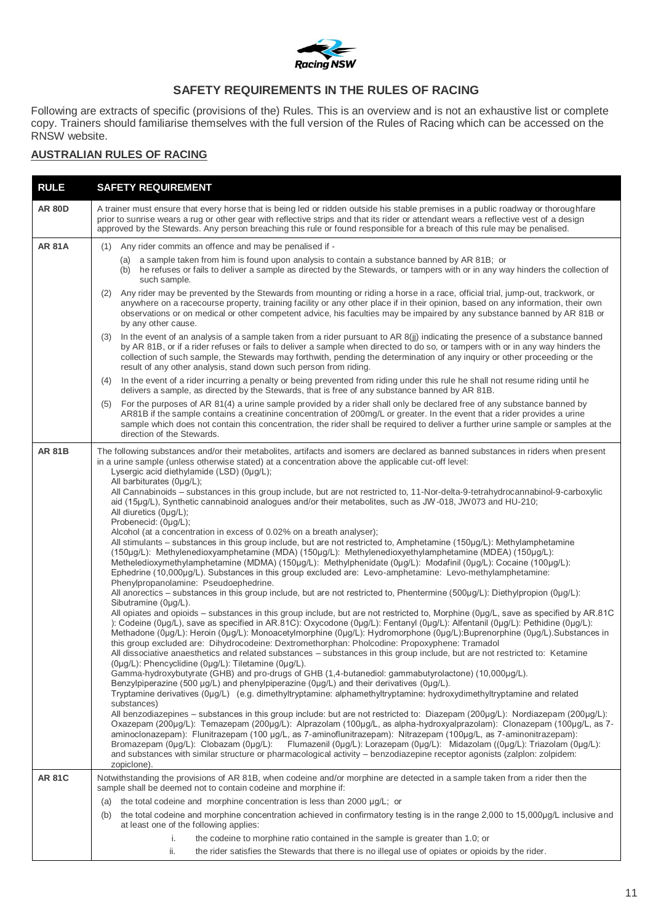

# **SAFETY REQUIREMENTS IN THE RULES OF RACING**

Following are extracts of specific (provisions of the) Rules. This is an overview and is not an exhaustive list or complete copy. Trainers should familiarise themselves with the full version of the Rules of Racing which can be accessed on the RNSW website.

## **AUSTRALIAN RULES OF RACING**

| <b>RULE</b>   | <b>SAFETY REQUIREMENT</b>                                                                                                                                                                                                                                                                                                                                                                                                                                                                                                                                                                                                                                                                                                                                                                                                                                                                                                                                                                                                                                                                                                                                                                                                                                                                                                                                                                                                                                                                                                                                                                                                                                                                                                                                                                                                                                                                                                                                                                                                                                                                                                                                                                                                                                                                                                                                                                                                                                                                                                                                                                                                                                                                                                                                                                                                                                                                                                                                                                                                               |  |
|---------------|-----------------------------------------------------------------------------------------------------------------------------------------------------------------------------------------------------------------------------------------------------------------------------------------------------------------------------------------------------------------------------------------------------------------------------------------------------------------------------------------------------------------------------------------------------------------------------------------------------------------------------------------------------------------------------------------------------------------------------------------------------------------------------------------------------------------------------------------------------------------------------------------------------------------------------------------------------------------------------------------------------------------------------------------------------------------------------------------------------------------------------------------------------------------------------------------------------------------------------------------------------------------------------------------------------------------------------------------------------------------------------------------------------------------------------------------------------------------------------------------------------------------------------------------------------------------------------------------------------------------------------------------------------------------------------------------------------------------------------------------------------------------------------------------------------------------------------------------------------------------------------------------------------------------------------------------------------------------------------------------------------------------------------------------------------------------------------------------------------------------------------------------------------------------------------------------------------------------------------------------------------------------------------------------------------------------------------------------------------------------------------------------------------------------------------------------------------------------------------------------------------------------------------------------------------------------------------------------------------------------------------------------------------------------------------------------------------------------------------------------------------------------------------------------------------------------------------------------------------------------------------------------------------------------------------------------------------------------------------------------------------------------------------------------|--|
| <b>AR 80D</b> | A trainer must ensure that every horse that is being led or ridden outside his stable premises in a public roadway or thoroughfare<br>prior to sunrise wears a rug or other gear with reflective strips and that its rider or attendant wears a reflective vest of a design<br>approved by the Stewards. Any person breaching this rule or found responsible for a breach of this rule may be penalised.                                                                                                                                                                                                                                                                                                                                                                                                                                                                                                                                                                                                                                                                                                                                                                                                                                                                                                                                                                                                                                                                                                                                                                                                                                                                                                                                                                                                                                                                                                                                                                                                                                                                                                                                                                                                                                                                                                                                                                                                                                                                                                                                                                                                                                                                                                                                                                                                                                                                                                                                                                                                                                |  |
| <b>AR 81A</b> | Any rider commits an offence and may be penalised if -<br>(1)                                                                                                                                                                                                                                                                                                                                                                                                                                                                                                                                                                                                                                                                                                                                                                                                                                                                                                                                                                                                                                                                                                                                                                                                                                                                                                                                                                                                                                                                                                                                                                                                                                                                                                                                                                                                                                                                                                                                                                                                                                                                                                                                                                                                                                                                                                                                                                                                                                                                                                                                                                                                                                                                                                                                                                                                                                                                                                                                                                           |  |
|               | (a) a sample taken from him is found upon analysis to contain a substance banned by AR 81B; or<br>(b) he refuses or fails to deliver a sample as directed by the Stewards, or tampers with or in any way hinders the collection of<br>such sample.                                                                                                                                                                                                                                                                                                                                                                                                                                                                                                                                                                                                                                                                                                                                                                                                                                                                                                                                                                                                                                                                                                                                                                                                                                                                                                                                                                                                                                                                                                                                                                                                                                                                                                                                                                                                                                                                                                                                                                                                                                                                                                                                                                                                                                                                                                                                                                                                                                                                                                                                                                                                                                                                                                                                                                                      |  |
|               | (2) Any rider may be prevented by the Stewards from mounting or riding a horse in a race, official trial, jump-out, trackwork, or<br>anywhere on a racecourse property, training facility or any other place if in their opinion, based on any information, their own<br>observations or on medical or other competent advice, his faculties may be impaired by any substance banned by AR 81B or<br>by any other cause.                                                                                                                                                                                                                                                                                                                                                                                                                                                                                                                                                                                                                                                                                                                                                                                                                                                                                                                                                                                                                                                                                                                                                                                                                                                                                                                                                                                                                                                                                                                                                                                                                                                                                                                                                                                                                                                                                                                                                                                                                                                                                                                                                                                                                                                                                                                                                                                                                                                                                                                                                                                                                |  |
|               | (3) In the event of an analysis of a sample taken from a rider pursuant to AR 8(jj) indicating the presence of a substance banned<br>by AR 81B, or if a rider refuses or fails to deliver a sample when directed to do so, or tampers with or in any way hinders the<br>collection of such sample, the Stewards may forthwith, pending the determination of any inquiry or other proceeding or the<br>result of any other analysis, stand down such person from riding.                                                                                                                                                                                                                                                                                                                                                                                                                                                                                                                                                                                                                                                                                                                                                                                                                                                                                                                                                                                                                                                                                                                                                                                                                                                                                                                                                                                                                                                                                                                                                                                                                                                                                                                                                                                                                                                                                                                                                                                                                                                                                                                                                                                                                                                                                                                                                                                                                                                                                                                                                                 |  |
|               | In the event of a rider incurring a penalty or being prevented from riding under this rule he shall not resume riding until he<br>(4)<br>delivers a sample, as directed by the Stewards, that is free of any substance banned by AR 81B.                                                                                                                                                                                                                                                                                                                                                                                                                                                                                                                                                                                                                                                                                                                                                                                                                                                                                                                                                                                                                                                                                                                                                                                                                                                                                                                                                                                                                                                                                                                                                                                                                                                                                                                                                                                                                                                                                                                                                                                                                                                                                                                                                                                                                                                                                                                                                                                                                                                                                                                                                                                                                                                                                                                                                                                                |  |
|               | For the purposes of AR 81(4) a urine sample provided by a rider shall only be declared free of any substance banned by<br>(5)<br>AR81B if the sample contains a creatinine concentration of 200mg/L or greater. In the event that a rider provides a urine<br>sample which does not contain this concentration, the rider shall be required to deliver a further urine sample or samples at the<br>direction of the Stewards.                                                                                                                                                                                                                                                                                                                                                                                                                                                                                                                                                                                                                                                                                                                                                                                                                                                                                                                                                                                                                                                                                                                                                                                                                                                                                                                                                                                                                                                                                                                                                                                                                                                                                                                                                                                                                                                                                                                                                                                                                                                                                                                                                                                                                                                                                                                                                                                                                                                                                                                                                                                                           |  |
| <b>AR 81B</b> | The following substances and/or their metabolites, artifacts and isomers are declared as banned substances in riders when present<br>in a urine sample (unless otherwise stated) at a concentration above the applicable cut-off level:<br>Lysergic acid diethylamide (LSD) (0µg/L);<br>All barbiturates (0µg/L);<br>All Cannabinoids - substances in this group include, but are not restricted to, 11-Nor-delta-9-tetrahydrocannabinol-9-carboxylic<br>aid (15µg/L), Synthetic cannabinoid analogues and/or their metabolites, such as JW-018, JW073 and HU-210;<br>All diuretics (0µg/L);<br>Probenecid: (0µg/L);<br>Alcohol (at a concentration in excess of 0.02% on a breath analyser);<br>All stimulants – substances in this group include, but are not restricted to, Amphetamine (150µg/L): Methylamphetamine<br>(150µg/L): Methylenedioxyamphetamine (MDA) (150µg/L): Methylenedioxyethylamphetamine (MDEA) (150µg/L):<br>Metheledioxymethylamphetamine (MDMA) (150µg/L): Methylphenidate (0µg/L): Modafinil (0µg/L): Cocaine (100µg/L):<br>Ephedrine (10,000µg/L). Substances in this group excluded are: Levo-amphetamine: Levo-methylamphetamine:<br>Phenylpropanolamine: Pseudoephedrine.<br>All anorectics - substances in this group include, but are not restricted to, Phentermine (500µg/L): Diethylpropion (0µg/L):<br>Sibutramine (0µg/L).<br>All opiates and opioids – substances in this group include, but are not restricted to, Morphine (0µg/L, save as specified by AR.81C<br>): Codeine (0µg/L), save as specified in AR.81C): Oxycodone (0µg/L): Fentanyl (0µg/L): Alfentanil (0µg/L): Pethidine (0µg/L):<br>Methadone (0µg/L): Heroin (0µg/L): Monoacetylmorphine (0µg/L): Hydromorphone (0µg/L):Buprenorphine (0µg/L).Substances in<br>this group excluded are: Dihydrocodeine: Dextromethorphan: Pholcodine: Propoxyphene: Tramadol<br>All dissociative anaesthetics and related substances – substances in this group include, but are not restricted to: Ketamine<br>(0µg/L): Phencyclidine (0µg/L): Tiletamine (0µg/L).<br>Gamma-hydroxybutyrate (GHB) and pro-drugs of GHB (1,4-butanediol: gammabutyrolactone) (10,000µg/L).<br>Benzylpiperazine (500 µg/L) and phenylpiperazine (0µg/L) and their derivatives (0µg/L).<br>Tryptamine derivatives (0µg/L) (e.g. dimethyltryptamine: alphamethyltryptamine: hydroxydimethyltryptamine and related<br>substances)<br>All benzodiazepines – substances in this group include: but are not restricted to: Diazepam (200µg/L): Nordiazepam (200µg/L):<br>Oxazepam (200µg/L): Temazepam (200µg/L): Alprazolam (100µg/L, as alpha-hydroxyalprazolam): Clonazepam (100µg/L, as 7-<br>aminoclonazepam): Flunitrazepam (100 µg/L, as 7-aminoflunitrazepam): Nitrazepam (100µg/L, as 7-aminonitrazepam):<br>Bromazepam (0µg/L): Clobazam (0µg/L): Flumazenil (0µg/L): Lorazepam (0µg/L): Midazolam ((0µg/L): Triazolam (0µg/L):<br>and substances with similar structure or pharmacological activity – benzodiazepine receptor agonists (zalplon: zolpidem: |  |
| <b>AR 81C</b> | zopiclone).<br>Notwithstanding the provisions of AR 81B, when codeine and/or morphine are detected in a sample taken from a rider then the<br>sample shall be deemed not to contain codeine and morphine if:                                                                                                                                                                                                                                                                                                                                                                                                                                                                                                                                                                                                                                                                                                                                                                                                                                                                                                                                                                                                                                                                                                                                                                                                                                                                                                                                                                                                                                                                                                                                                                                                                                                                                                                                                                                                                                                                                                                                                                                                                                                                                                                                                                                                                                                                                                                                                                                                                                                                                                                                                                                                                                                                                                                                                                                                                            |  |
|               | the total codeine and morphine concentration is less than 2000 µg/L; or<br>(a)                                                                                                                                                                                                                                                                                                                                                                                                                                                                                                                                                                                                                                                                                                                                                                                                                                                                                                                                                                                                                                                                                                                                                                                                                                                                                                                                                                                                                                                                                                                                                                                                                                                                                                                                                                                                                                                                                                                                                                                                                                                                                                                                                                                                                                                                                                                                                                                                                                                                                                                                                                                                                                                                                                                                                                                                                                                                                                                                                          |  |
|               | the total codeine and morphine concentration achieved in confirmatory testing is in the range 2,000 to 15,000µg/L inclusive and<br>(b)<br>at least one of the following applies:                                                                                                                                                                                                                                                                                                                                                                                                                                                                                                                                                                                                                                                                                                                                                                                                                                                                                                                                                                                                                                                                                                                                                                                                                                                                                                                                                                                                                                                                                                                                                                                                                                                                                                                                                                                                                                                                                                                                                                                                                                                                                                                                                                                                                                                                                                                                                                                                                                                                                                                                                                                                                                                                                                                                                                                                                                                        |  |
|               | i.<br>the codeine to morphine ratio contained in the sample is greater than 1.0; or<br>ii.<br>the rider satisfies the Stewards that there is no illegal use of opiates or opioids by the rider.                                                                                                                                                                                                                                                                                                                                                                                                                                                                                                                                                                                                                                                                                                                                                                                                                                                                                                                                                                                                                                                                                                                                                                                                                                                                                                                                                                                                                                                                                                                                                                                                                                                                                                                                                                                                                                                                                                                                                                                                                                                                                                                                                                                                                                                                                                                                                                                                                                                                                                                                                                                                                                                                                                                                                                                                                                         |  |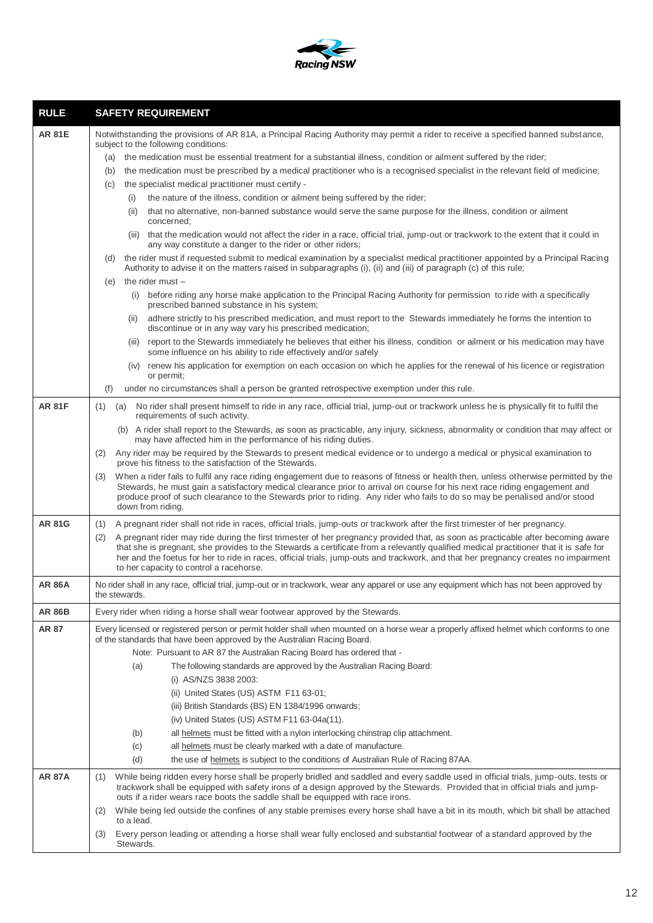

| <b>RULE</b>   | <b>SAFETY REQUIREMENT</b>                                                                                                                                                                                                                                                                                                                                                                                                                                          |
|---------------|--------------------------------------------------------------------------------------------------------------------------------------------------------------------------------------------------------------------------------------------------------------------------------------------------------------------------------------------------------------------------------------------------------------------------------------------------------------------|
| <b>AR 81E</b> | Notwithstanding the provisions of AR 81A, a Principal Racing Authority may permit a rider to receive a specified banned substance,<br>subject to the following conditions:                                                                                                                                                                                                                                                                                         |
|               | the medication must be essential treatment for a substantial illness, condition or ailment suffered by the rider;<br>(a)                                                                                                                                                                                                                                                                                                                                           |
|               | the medication must be prescribed by a medical practitioner who is a recognised specialist in the relevant field of medicine;<br>(b)                                                                                                                                                                                                                                                                                                                               |
|               | the specialist medical practitioner must certify -<br>(C)                                                                                                                                                                                                                                                                                                                                                                                                          |
|               | the nature of the illness, condition or ailment being suffered by the rider;<br>(i)                                                                                                                                                                                                                                                                                                                                                                                |
|               | that no alternative, non-banned substance would serve the same purpose for the illness, condition or ailment<br>(ii)<br>concerned;                                                                                                                                                                                                                                                                                                                                 |
|               | (iii) that the medication would not affect the rider in a race, official trial, jump-out or trackwork to the extent that it could in<br>any way constitute a danger to the rider or other riders;                                                                                                                                                                                                                                                                  |
|               | the rider must if requested submit to medical examination by a specialist medical practitioner appointed by a Principal Racing<br>(d)<br>Authority to advise it on the matters raised in subparagraphs (i), (ii) and (iii) of paragraph (c) of this rule;                                                                                                                                                                                                          |
|               | the rider must $-$<br>(e)                                                                                                                                                                                                                                                                                                                                                                                                                                          |
|               | (i) before riding any horse make application to the Principal Racing Authority for permission to ride with a specifically<br>prescribed banned substance in his system;                                                                                                                                                                                                                                                                                            |
|               | adhere strictly to his prescribed medication, and must report to the Stewards immediately he forms the intention to<br>(ii)<br>discontinue or in any way vary his prescribed medication;                                                                                                                                                                                                                                                                           |
|               | (iii) report to the Stewards immediately he believes that either his illness, condition or ailment or his medication may have<br>some influence on his ability to ride effectively and/or safely                                                                                                                                                                                                                                                                   |
|               | (iv) renew his application for exemption on each occasion on which he applies for the renewal of his licence or registration<br>or permit;                                                                                                                                                                                                                                                                                                                         |
|               | under no circumstances shall a person be granted retrospective exemption under this rule.<br>(f)                                                                                                                                                                                                                                                                                                                                                                   |
| <b>AR 81F</b> | (1)<br>(a) No rider shall present himself to ride in any race, official trial, jump-out or trackwork unless he is physically fit to fulfil the<br>requirements of such activity.                                                                                                                                                                                                                                                                                   |
|               | (b) A rider shall report to the Stewards, as soon as practicable, any injury, sickness, abnormality or condition that may affect or<br>may have affected him in the performance of his riding duties.                                                                                                                                                                                                                                                              |
|               | Any rider may be required by the Stewards to present medical evidence or to undergo a medical or physical examination to<br>(2)<br>prove his fitness to the satisfaction of the Stewards.                                                                                                                                                                                                                                                                          |
|               | When a rider fails to fulfil any race riding engagement due to reasons of fitness or health then, unless otherwise permitted by the<br>(3)<br>Stewards, he must gain a satisfactory medical clearance prior to arrival on course for his next race riding engagement and<br>produce proof of such clearance to the Stewards prior to riding. Any rider who fails to do so may be penalised and/or stood<br>down from riding.                                       |
| <b>AR 81G</b> | A pregnant rider shall not ride in races, official trials, jump-outs or trackwork after the first trimester of her pregnancy.<br>(1)                                                                                                                                                                                                                                                                                                                               |
|               | A pregnant rider may ride during the first trimester of her pregnancy provided that, as soon as practicable after becoming aware<br>(2)<br>that she is pregnant, she provides to the Stewards a certificate from a relevantly qualified medical practitioner that it is safe for<br>her and the foetus for her to ride in races, official trials, jump-outs and trackwork, and that her pregnancy creates no impairment<br>to her capacity to control a racehorse. |
| <b>AR 86A</b> | No rider shall in any race, official trial, jump-out or in trackwork, wear any apparel or use any equipment which has not been approved by<br>the stewards.                                                                                                                                                                                                                                                                                                        |
| <b>AR 86B</b> | Every rider when riding a horse shall wear footwear approved by the Stewards.                                                                                                                                                                                                                                                                                                                                                                                      |
| <b>AR 87</b>  | Every licensed or registered person or permit holder shall when mounted on a horse wear a properly affixed helmet which conforms to one<br>of the standards that have been approved by the Australian Racing Board.                                                                                                                                                                                                                                                |
|               | Note: Pursuant to AR 87 the Australian Racing Board has ordered that -                                                                                                                                                                                                                                                                                                                                                                                             |
|               | The following standards are approved by the Australian Racing Board:<br>(a)                                                                                                                                                                                                                                                                                                                                                                                        |
|               | (i) AS/NZS 3838 2003:                                                                                                                                                                                                                                                                                                                                                                                                                                              |
|               | (ii) United States (US) ASTM F11 63-01;                                                                                                                                                                                                                                                                                                                                                                                                                            |
|               | (iii) British Standards (BS) EN 1384/1996 onwards;                                                                                                                                                                                                                                                                                                                                                                                                                 |
|               | (iv) United States (US) ASTM F11 63-04a(11).                                                                                                                                                                                                                                                                                                                                                                                                                       |
|               | all helmets must be fitted with a nylon interlocking chinstrap clip attachment.<br>(b)                                                                                                                                                                                                                                                                                                                                                                             |
|               | (c)<br>all helmets must be clearly marked with a date of manufacture.                                                                                                                                                                                                                                                                                                                                                                                              |
|               | (d)<br>the use of helmets is subject to the conditions of Australian Rule of Racing 87AA.                                                                                                                                                                                                                                                                                                                                                                          |
| <b>AR 87A</b> | While being ridden every horse shall be properly bridled and saddled and every saddle used in official trials, jump-outs, tests or<br>(1)<br>trackwork shall be equipped with safety irons of a design approved by the Stewards. Provided that in official trials and jump-<br>outs if a rider wears race boots the saddle shall be equipped with race irons.                                                                                                      |
|               | While being led outside the confines of any stable premises every horse shall have a bit in its mouth, which bit shall be attached<br>(2)<br>to a lead.                                                                                                                                                                                                                                                                                                            |
|               | Every person leading or attending a horse shall wear fully enclosed and substantial footwear of a standard approved by the<br>(3)<br>Stewards.                                                                                                                                                                                                                                                                                                                     |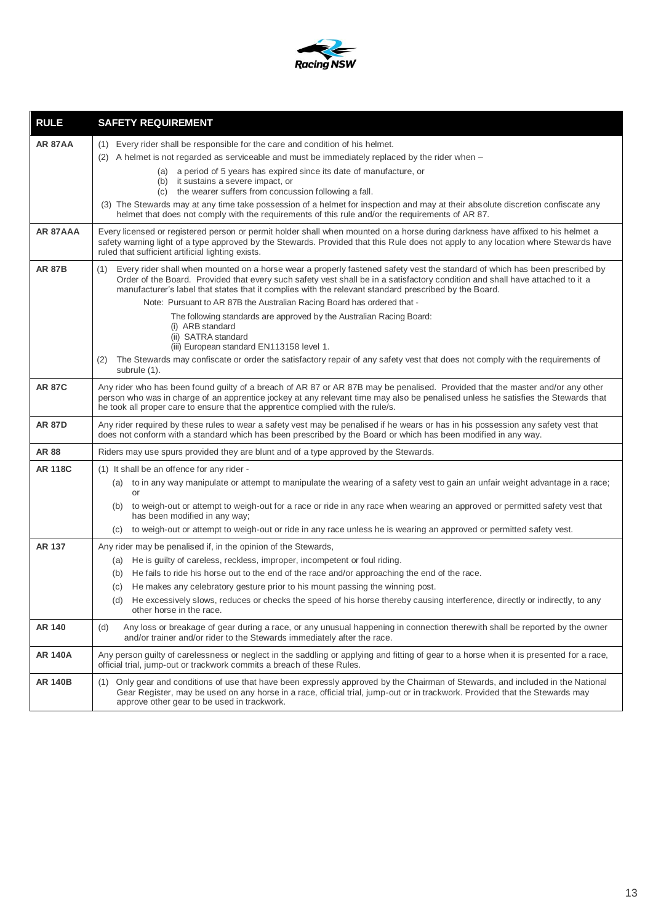

| <b>RULE</b>    | <b>SAFETY REQUIREMENT</b>                                                                                                                                                                                                                                                                                                                                                    |
|----------------|------------------------------------------------------------------------------------------------------------------------------------------------------------------------------------------------------------------------------------------------------------------------------------------------------------------------------------------------------------------------------|
| <b>AR 87AA</b> | (1) Every rider shall be responsible for the care and condition of his helmet.                                                                                                                                                                                                                                                                                               |
|                | (2) A helmet is not regarded as serviceable and must be immediately replaced by the rider when -                                                                                                                                                                                                                                                                             |
|                | a period of 5 years has expired since its date of manufacture, or<br>(a)                                                                                                                                                                                                                                                                                                     |
|                | (b) it sustains a severe impact, or<br>(c) the wearer suffers from concussion following a fall.                                                                                                                                                                                                                                                                              |
|                | (3) The Stewards may at any time take possession of a helmet for inspection and may at their absolute discretion confiscate any<br>helmet that does not comply with the requirements of this rule and/or the requirements of AR 87.                                                                                                                                          |
| AR 87AAA       | Every licensed or registered person or permit holder shall when mounted on a horse during darkness have affixed to his helmet a<br>safety warning light of a type approved by the Stewards. Provided that this Rule does not apply to any location where Stewards have<br>ruled that sufficient artificial lighting exists.                                                  |
| <b>AR 87B</b>  | Every rider shall when mounted on a horse wear a properly fastened safety vest the standard of which has been prescribed by<br>(1)<br>Order of the Board. Provided that every such safety vest shall be in a satisfactory condition and shall have attached to it a<br>manufacturer's label that states that it complies with the relevant standard prescribed by the Board. |
|                | Note: Pursuant to AR 87B the Australian Racing Board has ordered that -                                                                                                                                                                                                                                                                                                      |
|                | The following standards are approved by the Australian Racing Board:<br>(i) ARB standard                                                                                                                                                                                                                                                                                     |
|                | (ii) SATRA standard                                                                                                                                                                                                                                                                                                                                                          |
|                | (iii) European standard EN113158 level 1.                                                                                                                                                                                                                                                                                                                                    |
|                | The Stewards may confiscate or order the satisfactory repair of any safety vest that does not comply with the requirements of<br>(2)<br>subrule (1).                                                                                                                                                                                                                         |
| <b>AR 87C</b>  | Any rider who has been found guilty of a breach of AR 87 or AR 87B may be penalised. Provided that the master and/or any other<br>person who was in charge of an apprentice jockey at any relevant time may also be penalised unless he satisfies the Stewards that<br>he took all proper care to ensure that the apprentice complied with the rule/s.                       |
| <b>AR 87D</b>  | Any rider required by these rules to wear a safety vest may be penalised if he wears or has in his possession any safety vest that<br>does not conform with a standard which has been prescribed by the Board or which has been modified in any way.                                                                                                                         |
| <b>AR 88</b>   | Riders may use spurs provided they are blunt and of a type approved by the Stewards.                                                                                                                                                                                                                                                                                         |
| <b>AR 118C</b> | (1) It shall be an offence for any rider -                                                                                                                                                                                                                                                                                                                                   |
|                | to in any way manipulate or attempt to manipulate the wearing of a safety vest to gain an unfair weight advantage in a race;<br>(a)<br>or                                                                                                                                                                                                                                    |
|                | (b) to weigh-out or attempt to weigh-out for a race or ride in any race when wearing an approved or permitted safety vest that<br>has been modified in any way;                                                                                                                                                                                                              |
|                | to weigh-out or attempt to weigh-out or ride in any race unless he is wearing an approved or permitted safety vest.<br>(C)                                                                                                                                                                                                                                                   |
| <b>AR 137</b>  | Any rider may be penalised if, in the opinion of the Stewards,                                                                                                                                                                                                                                                                                                               |
|                | He is guilty of careless, reckless, improper, incompetent or foul riding.<br>(a)                                                                                                                                                                                                                                                                                             |
|                | He fails to ride his horse out to the end of the race and/or approaching the end of the race.<br>(b)                                                                                                                                                                                                                                                                         |
|                | He makes any celebratory gesture prior to his mount passing the winning post.<br>(C)                                                                                                                                                                                                                                                                                         |
|                | He excessively slows, reduces or checks the speed of his horse thereby causing interference, directly or indirectly, to any<br>(d)<br>other horse in the race.                                                                                                                                                                                                               |
| AR 140         | Any loss or breakage of gear during a race, or any unusual happening in connection therewith shall be reported by the owner<br>(d)<br>and/or trainer and/or rider to the Stewards immediately after the race.                                                                                                                                                                |
| <b>AR 140A</b> | Any person guilty of carelessness or neglect in the saddling or applying and fitting of gear to a horse when it is presented for a race,<br>official trial, jump-out or trackwork commits a breach of these Rules.                                                                                                                                                           |
| <b>AR 140B</b> | Only gear and conditions of use that have been expressly approved by the Chairman of Stewards, and included in the National<br>(1)<br>Gear Register, may be used on any horse in a race, official trial, jump-out or in trackwork. Provided that the Stewards may<br>approve other gear to be used in trackwork.                                                             |